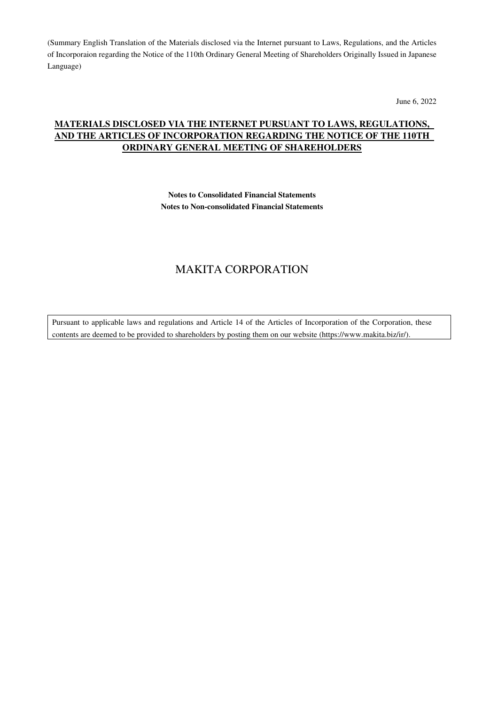(Summary English Translation of the Materials disclosed via the Internet pursuant to Laws, Regulations, and the Articles of Incorporaion regarding the Notice of the 110th Ordinary General Meeting of Shareholders Originally Issued in Japanese Language)

June 6, 2022

## **MATERIALS DISCLOSED VIA THE INTERNET PURSUANT TO LAWS, REGULATIONS, AND THE ARTICLES OF INCORPORATION REGARDING THE NOTICE OF THE 110TH ORDINARY GENERAL MEETING OF SHAREHOLDERS**

**Notes to Consolidated Financial Statements Notes to Non-consolidated Financial Statements** 

# MAKITA CORPORATION

Pursuant to applicable laws and regulations and Article 14 of the Articles of Incorporation of the Corporation, these contents are deemed to be provided to shareholders by posting them on our website (https://www.makita.biz/ir/).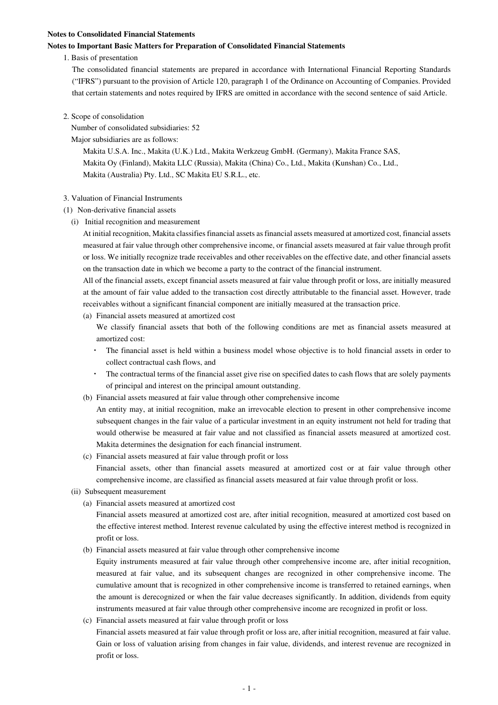#### **Notes to Consolidated Financial Statements**

#### **Notes to Important Basic Matters for Preparation of Consolidated Financial Statements**

1. Basis of presentation

The consolidated financial statements are prepared in accordance with International Financial Reporting Standards ("IFRS") pursuant to the provision of Article 120, paragraph 1 of the Ordinance on Accounting of Companies. Provided that certain statements and notes required by IFRS are omitted in accordance with the second sentence of said Article.

2. Scope of consolidation

Number of consolidated subsidiaries: 52

Major subsidiaries are as follows:

Makita U.S.A. Inc., Makita (U.K.) Ltd., Makita Werkzeug GmbH. (Germany), Makita France SAS, Makita Oy (Finland), Makita LLC (Russia), Makita (China) Co., Ltd., Makita (Kunshan) Co., Ltd., Makita (Australia) Pty. Ltd., SC Makita EU S.R.L., etc.

## 3. Valuation of Financial Instruments

- (1) Non-derivative financial assets
	- (i) Initial recognition and measurement

At initial recognition, Makita classifies financial assets as financial assets measured at amortized cost, financial assets measured at fair value through other comprehensive income, or financial assets measured at fair value through profit or loss. We initially recognize trade receivables and other receivables on the effective date, and other financial assets on the transaction date in which we become a party to the contract of the financial instrument.

All of the financial assets, except financial assets measured at fair value through profit or loss, are initially measured at the amount of fair value added to the transaction cost directly attributable to the financial asset. However, trade receivables without a significant financial component are initially measured at the transaction price.

(a) Financial assets measured at amortized cost

We classify financial assets that both of the following conditions are met as financial assets measured at amortized cost:

- The financial asset is held within a business model whose objective is to hold financial assets in order to collect contractual cash flows, and
- The contractual terms of the financial asset give rise on specified dates to cash flows that are solely payments of principal and interest on the principal amount outstanding.
- (b) Financial assets measured at fair value through other comprehensive income

An entity may, at initial recognition, make an irrevocable election to present in other comprehensive income subsequent changes in the fair value of a particular investment in an equity instrument not held for trading that would otherwise be measured at fair value and not classified as financial assets measured at amortized cost. Makita determines the designation for each financial instrument.

(c) Financial assets measured at fair value through profit or loss

Financial assets, other than financial assets measured at amortized cost or at fair value through other comprehensive income, are classified as financial assets measured at fair value through profit or loss.

- (ii) Subsequent measurement
	- (a) Financial assets measured at amortized cost

Financial assets measured at amortized cost are, after initial recognition, measured at amortized cost based on the effective interest method. Interest revenue calculated by using the effective interest method is recognized in profit or loss.

(b) Financial assets measured at fair value through other comprehensive income

Equity instruments measured at fair value through other comprehensive income are, after initial recognition, measured at fair value, and its subsequent changes are recognized in other comprehensive income. The cumulative amount that is recognized in other comprehensive income is transferred to retained earnings, when the amount is derecognized or when the fair value decreases significantly. In addition, dividends from equity instruments measured at fair value through other comprehensive income are recognized in profit or loss.

(c) Financial assets measured at fair value through profit or loss

Financial assets measured at fair value through profit or loss are, after initial recognition, measured at fair value. Gain or loss of valuation arising from changes in fair value, dividends, and interest revenue are recognized in profit or loss.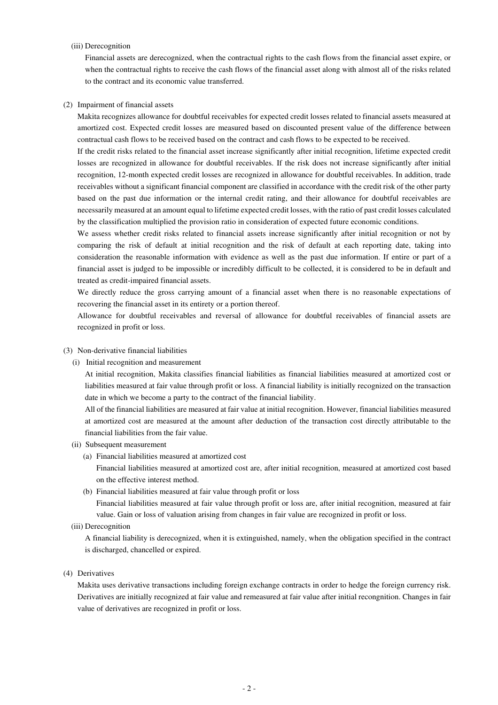### (iii) Derecognition

Financial assets are derecognized, when the contractual rights to the cash flows from the financial asset expire, or when the contractual rights to receive the cash flows of the financial asset along with almost all of the risks related to the contract and its economic value transferred.

#### (2) Impairment of financial assets

Makita recognizes allowance for doubtful receivables for expected credit losses related to financial assets measured at amortized cost. Expected credit losses are measured based on discounted present value of the difference between contractual cash flows to be received based on the contract and cash flows to be expected to be received.

If the credit risks related to the financial asset increase significantly after initial recognition, lifetime expected credit losses are recognized in allowance for doubtful receivables. If the risk does not increase significantly after initial recognition, 12-month expected credit losses are recognized in allowance for doubtful receivables. In addition, trade receivables without a significant financial component are classified in accordance with the credit risk of the other party based on the past due information or the internal credit rating, and their allowance for doubtful receivables are necessarily measured at an amount equal to lifetime expected credit losses, with the ratio of past credit losses calculated by the classification multiplied the provision ratio in consideration of expected future economic conditions.

We assess whether credit risks related to financial assets increase significantly after initial recognition or not by comparing the risk of default at initial recognition and the risk of default at each reporting date, taking into consideration the reasonable information with evidence as well as the past due information. If entire or part of a financial asset is judged to be impossible or incredibly difficult to be collected, it is considered to be in default and treated as credit-impaired financial assets.

We directly reduce the gross carrying amount of a financial asset when there is no reasonable expectations of recovering the financial asset in its entirety or a portion thereof.

Allowance for doubtful receivables and reversal of allowance for doubtful receivables of financial assets are recognized in profit or loss.

## (3) Non-derivative financial liabilities

(i) Initial recognition and measurement

At initial recognition, Makita classifies financial liabilities as financial liabilities measured at amortized cost or liabilities measured at fair value through profit or loss. A financial liability is initially recognized on the transaction date in which we become a party to the contract of the financial liability.

All of the financial liabilities are measured at fair value at initial recognition. However, financial liabilities measured at amortized cost are measured at the amount after deduction of the transaction cost directly attributable to the financial liabilities from the fair value.

- (ii) Subsequent measurement
	- (a) Financial liabilities measured at amortized cost

Financial liabilities measured at amortized cost are, after initial recognition, measured at amortized cost based on the effective interest method.

(b) Financial liabilities measured at fair value through profit or loss

Financial liabilities measured at fair value through profit or loss are, after initial recognition, measured at fair value. Gain or loss of valuation arising from changes in fair value are recognized in profit or loss.

(iii) Derecognition

A financial liability is derecognized, when it is extinguished, namely, when the obligation specified in the contract is discharged, chancelled or expired.

(4) Derivatives

Makita uses derivative transactions including foreign exchange contracts in order to hedge the foreign currency risk. Derivatives are initially recognized at fair value and remeasured at fair value after initial recongnition. Changes in fair value of derivatives are recognized in profit or loss.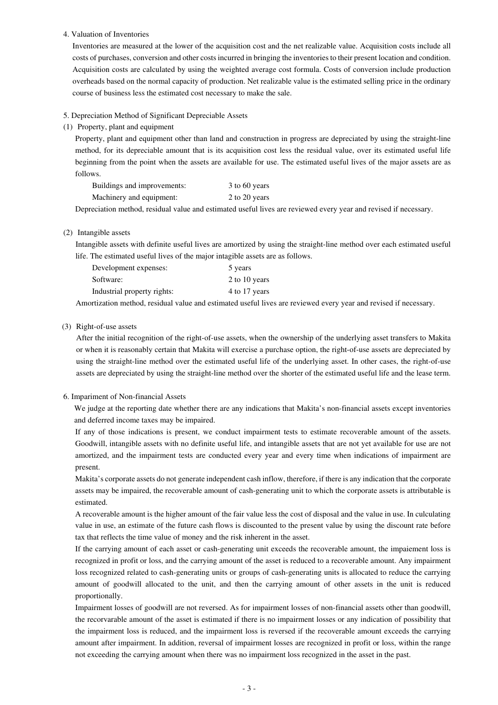4. Valuation of Inventories

Inventories are measured at the lower of the acquisition cost and the net realizable value. Acquisition costs include all costs of purchases, conversion and other costs incurred in bringing the inventories to their present location and condition. Acquisition costs are calculated by using the weighted average cost formula. Costs of conversion include production overheads based on the normal capacity of production. Net realizable value is the estimated selling price in the ordinary course of business less the estimated cost necessary to make the sale.

#### 5. Depreciation Method of Significant Depreciable Assets

#### (1) Property, plant and equipment

Property, plant and equipment other than land and construction in progress are depreciated by using the straight-line method, for its depreciable amount that is its acquisition cost less the residual value, over its estimated useful life beginning from the point when the assets are available for use. The estimated useful lives of the major assets are as follows.

| Buildings and improvements: | 3 to 60 years |
|-----------------------------|---------------|
| Machinery and equipment:    | 2 to 20 years |

Depreciation method, residual value and estimated useful lives are reviewed every year and revised if necessary.

## (2) Intangible assets

Intangible assets with definite useful lives are amortized by using the straight-line method over each estimated useful life. The estimated useful lives of the major intagible assets are as follows.

| Development expenses:       | 5 years       |
|-----------------------------|---------------|
| Software:                   | 2 to 10 years |
| Industrial property rights: | 4 to 17 years |

Amortization method, residual value and estimated useful lives are reviewed every year and revised if necessary.

#### (3) Right-of-use assets

After the initial recognition of the right-of-use assets, when the ownership of the underlying asset transfers to Makita or when it is reasonably certain that Makita will exercise a purchase option, the right-of-use assets are depreciated by using the straight-line method over the estimated useful life of the underlying asset. In other cases, the right-of-use assets are depreciated by using the straight-line method over the shorter of the estimated useful life and the lease term.

#### 6. Impariment of Non-financial Assets

We judge at the reporting date whether there are any indications that Makita's non-financial assets except inventories and deferred income taxes may be impaired.

If any of those indications is present, we conduct impairment tests to estimate recoverable amount of the assets. Goodwill, intangible assets with no definite useful life, and intangible assets that are not yet available for use are not amortized, and the impairment tests are conducted every year and every time when indications of impairment are present.

Makita's corporate assets do not generate independent cash inflow, therefore, if there is any indication that the corporate assets may be impaired, the recoverable amount of cash-generating unit to which the corporate assets is attributable is estimated.

A recoverable amount is the higher amount of the fair value less the cost of disposal and the value in use. In culculating value in use, an estimate of the future cash flows is discounted to the present value by using the discount rate before tax that reflects the time value of money and the risk inherent in the asset.

If the carrying amount of each asset or cash-generating unit exceeds the recoverable amount, the impaiement loss is recognized in profit or loss, and the carrying amount of the asset is reduced to a recoverable amount. Any impairment loss recognized related to cash-generating units or groups of cash-generating units is allocated to reduce the carrying amount of goodwill allocated to the unit, and then the carrying amount of other assets in the unit is reduced proportionally.

Impairment losses of goodwill are not reversed. As for impairment losses of non-financial assets other than goodwill, the recorvarable amount of the asset is estimated if there is no impairment losses or any indication of possibility that the impairment loss is reduced, and the impairment loss is reversed if the recoverable amount exceeds the carrying amount after impairment. In addition, reversal of impairment losses are recognized in profit or loss, within the range not exceeding the carrying amount when there was no impairment loss recognized in the asset in the past.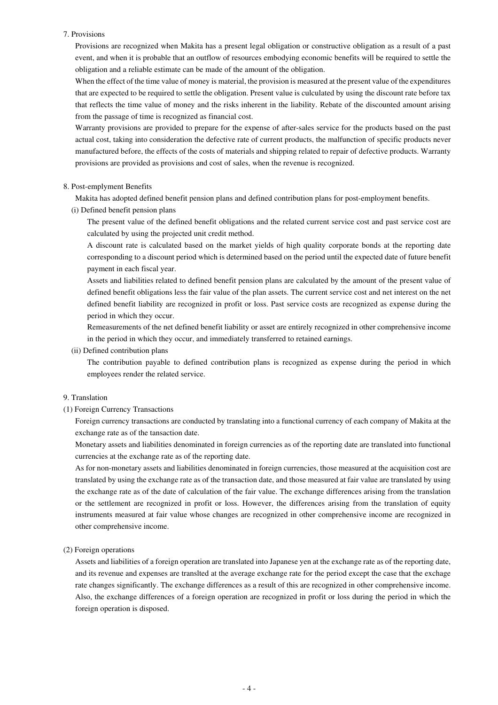#### 7. Provisions

Provisions are recognized when Makita has a present legal obligation or constructive obligation as a result of a past event, and when it is probable that an outflow of resources embodying economic benefits will be required to settle the obligation and a reliable estimate can be made of the amount of the obligation.

When the effect of the time value of money is material, the provision is measured at the present value of the expenditures that are expected to be required to settle the obligation. Present value is culculated by using the discount rate before tax that reflects the time value of money and the risks inherent in the liability. Rebate of the discounted amount arising from the passage of time is recognized as financial cost.

Warranty provisions are provided to prepare for the expense of after-sales service for the products based on the past actual cost, taking into consideration the defective rate of current products, the malfunction of specific products never manufactured before, the effects of the costs of materials and shipping related to repair of defective products. Warranty provisions are provided as provisions and cost of sales, when the revenue is recognized.

#### 8. Post-emplyment Benefits

Makita has adopted defined benefit pension plans and defined contribution plans for post-employment benefits.

(i) Defined benefit pension plans

The present value of the defined benefit obligations and the related current service cost and past service cost are calculated by using the projected unit credit method.

A discount rate is calculated based on the market yields of high quality corporate bonds at the reporting date corresponding to a discount period which is determined based on the period until the expected date of future benefit payment in each fiscal year.

Assets and liabilities related to defined benefit pension plans are calculated by the amount of the present value of defined benefit obligations less the fair value of the plan assets. The current service cost and net interest on the net defined benefit liability are recognized in profit or loss. Past service costs are recognized as expense during the period in which they occur.

Remeasurements of the net defined benefit liability or asset are entirely recognized in other comprehensive income in the period in which they occur, and immediately transferred to retained earnings.

(ii) Defined contribution plans

The contribution payable to defined contribution plans is recognized as expense during the period in which employees render the related service.

#### 9. Translation

## (1) Foreign Currency Transactions

Foreign currency transactions are conducted by translating into a functional currency of each company of Makita at the exchange rate as of the tansaction date.

Monetary assets and liabilities denominated in foreign currencies as of the reporting date are translated into functional currencies at the exchange rate as of the reporting date.

As for non-monetary assets and liabilities denominated in foreign currencies, those measured at the acquisition cost are translated by using the exchange rate as of the transaction date, and those measured at fair value are translated by using the exchange rate as of the date of calculation of the fair value. The exchange differences arising from the translation or the settlement are recognized in profit or loss. However, the differences arising from the translation of equity instruments measured at fair value whose changes are recognized in other comprehensive income are recognized in other comprehensive income.

## (2) Foreign operations

Assets and liabilities of a foreign operation are translated into Japanese yen at the exchange rate as of the reporting date, and its revenue and expenses are translted at the average exchange rate for the period except the case that the exchage rate changes significantly. The exchange differences as a result of this are recognized in other comprehensive income. Also, the exchange differences of a foreign operation are recognized in profit or loss during the period in which the foreign operation is disposed.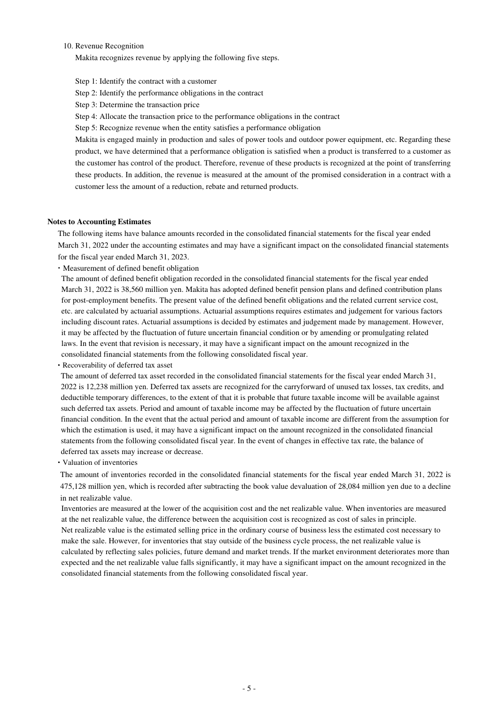#### 10. Revenue Recognition

Makita recognizes revenue by applying the following five steps.

Step 1: Identify the contract with a customer

Step 2: Identify the performance obligations in the contract

Step 3: Determine the transaction price

Step 4: Allocate the transaction price to the performance obligations in the contract

Step 5: Recognize revenue when the entity satisfies a performance obligation

Makita is engaged mainly in production and sales of power tools and outdoor power equipment, etc. Regarding these product, we have determined that a performance obligation is satisfied when a product is transferred to a customer as the customer has control of the product. Therefore, revenue of these products is recognized at the point of transferring these products. In addition, the revenue is measured at the amount of the promised consideration in a contract with a customer less the amount of a reduction, rebate and returned products.

#### **Notes to Accounting Estimates**

The following items have balance amounts recorded in the consolidated financial statements for the fiscal year ended March 31, 2022 under the accounting estimates and may have a significant impact on the consolidated financial statements for the fiscal year ended March 31, 2023.

・Measurement of defined benefit obligation

The amount of defined benefit obligation recorded in the consolidated financial statements for the fiscal year ended March 31, 2022 is 38,560 million yen. Makita has adopted defined benefit pension plans and defined contribution plans for post-employment benefits. The present value of the defined benefit obligations and the related current service cost, etc. are calculated by actuarial assumptions. Actuarial assumptions requires estimates and judgement for various factors including discount rates. Actuarial assumptions is decided by estimates and judgement made by management. However, it may be affected by the fluctuation of future uncertain financial condition or by amending or promulgating related laws. In the event that revision is necessary, it may have a significant impact on the amount recognized in the consolidated financial statements from the following consolidated fiscal year.

・Recoverability of deferred tax asset

The amount of deferred tax asset recorded in the consolidated financial statements for the fiscal year ended March 31, 2022 is 12,238 million yen. Deferred tax assets are recognized for the carryforward of unused tax losses, tax credits, and deductible temporary differences, to the extent of that it is probable that future taxable income will be available against such deferred tax assets. Period and amount of taxable income may be affected by the fluctuation of future uncertain financial condition. In the event that the actual period and amount of taxable income are different from the assumption for which the estimation is used, it may have a significant impact on the amount recognized in the consolidated financial statements from the following consolidated fiscal year. In the event of changes in effective tax rate, the balance of deferred tax assets may increase or decrease.

・Valuation of inventories

The amount of inventories recorded in the consolidated financial statements for the fiscal year ended March 31, 2022 is 475,128 million yen, which is recorded after subtracting the book value devaluation of 28,084 million yen due to a decline in net realizable value.

Inventories are measured at the lower of the acquisition cost and the net realizable value. When inventories are measured at the net realizable value, the difference between the acquisition cost is recognized as cost of sales in principle. Net realizable value is the estimated selling price in the ordinary course of business less the estimated cost necessary to make the sale. However, for inventories that stay outside of the business cycle process, the net realizable value is calculated by reflecting sales policies, future demand and market trends. If the market environment deteriorates more than expected and the net realizable value falls significantly, it may have a significant impact on the amount recognized in the consolidated financial statements from the following consolidated fiscal year.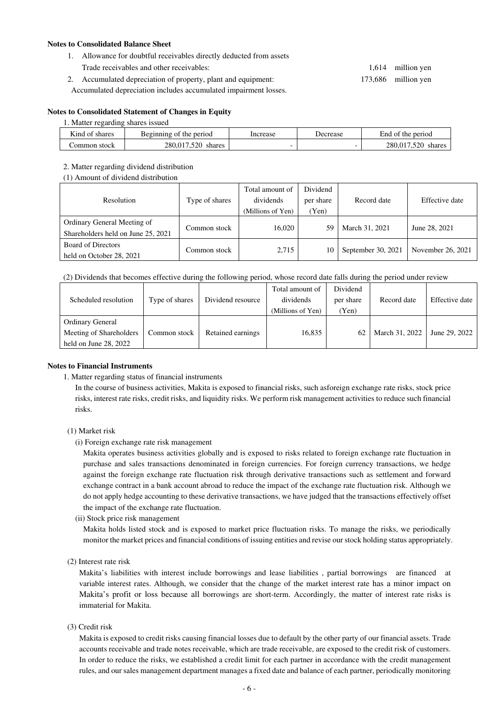## **Notes to Consolidated Balance Sheet**

- 1. Allowance for doubtful receivables directly deducted from assets
- Trade receivables and other receivables: 1,614 million yen 2. Accumulated depreciation of property, plant and equipment: 173,686 million yen Accumulated depreciation includes accumulated impairment losses.

## **Notes to Consolidated Statement of Changes in Equity**

#### 1. Matter regarding shares issued

| $\mathbf{r}$ .<br>Kind of<br>shares | the period<br>Beginning<br>: of | Increase | Decrease | the period<br>End<br>. ot  |
|-------------------------------------|---------------------------------|----------|----------|----------------------------|
| Common stock                        | 520<br>280.<br>.017<br>shares   |          | -        | .520<br>280,017.<br>shares |

#### 2. Matter regarding dividend distribution

(1) Amount of dividend distribution

| Resolution                                                        | Type of shares | Total amount of<br>dividends<br>(Millions of Yen) | Dividend<br>per share<br>(Yen) | Record date        | Effective date    |
|-------------------------------------------------------------------|----------------|---------------------------------------------------|--------------------------------|--------------------|-------------------|
| Ordinary General Meeting of<br>Shareholders held on June 25, 2021 | Common stock   | 16.020                                            | 59                             | March 31, 2021     | June 28, 2021     |
| <b>Board of Directors</b><br>held on October 28, 2021             | Common stock   | 2,715                                             | 10                             | September 30, 2021 | November 26, 2021 |

(2) Dividends that becomes effective during the following period, whose record date falls during the period under review

| Scheduled resolution                               | Type of shares | Dividend resource | Total amount of<br>dividends | Dividend<br>per share | Record date    | Effective date |
|----------------------------------------------------|----------------|-------------------|------------------------------|-----------------------|----------------|----------------|
|                                                    |                |                   | (Millions of Yen)            | Yen)                  |                |                |
| <b>Ordinary General</b><br>Meeting of Shareholders | Common stock   | Retained earnings | 16,835                       | 62                    | March 31, 2022 | June 29, 2022  |
| held on June $28, 2022$                            |                |                   |                              |                       |                |                |

#### **Notes to Financial Instruments**

1. Matter regarding status of financial instruments

In the course of business activities, Makita is exposed to financial risks, such asforeign exchange rate risks, stock price risks, interest rate risks, credit risks, and liquidity risks. We perform risk management activities to reduce such financial risks.

## (1) Market risk

(i) Foreign exchange rate risk management

Makita operates business activities globally and is exposed to risks related to foreign exchange rate fluctuation in purchase and sales transactions denominated in foreign currencies. For foreign currency transactions, we hedge against the foreign exchange rate fluctuation risk through derivative transactions such as settlement and forward exchange contract in a bank account abroad to reduce the impact of the exchange rate fluctuation risk. Although we do not apply hedge accounting to these derivative transactions, we have judged that the transactions effectively offset the impact of the exchange rate fluctuation.

(ii) Stock price risk management

Makita holds listed stock and is exposed to market price fluctuation risks. To manage the risks, we periodically monitor the market prices and financial conditions of issuing entities and revise our stock holding status appropriately.

(2) Interest rate risk

Makita's liabilities with interest include borrowings and lease liabilities , partial borrowings are financed at variable interest rates. Although, we consider that the change of the market interest rate has a minor impact on Makita's profit or loss because all borrowings are short-term. Accordingly, the matter of interest rate risks is immaterial for Makita.

(3) Credit risk

Makita is exposed to credit risks causing financial losses due to default by the other party of our financial assets. Trade accounts receivable and trade notes receivable, which are trade receivable, are exposed to the credit risk of customers. In order to reduce the risks, we established a credit limit for each partner in accordance with the credit management rules, and our sales management department manages a fixed date and balance of each partner, periodically monitoring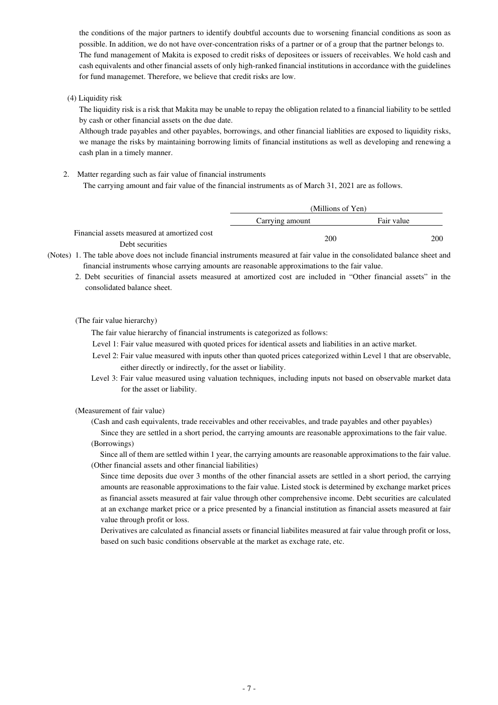the conditions of the major partners to identify doubtful accounts due to worsening financial conditions as soon as possible. In addition, we do not have over-concentration risks of a partner or of a group that the partner belongs to. The fund management of Makita is exposed to credit risks of depositees or issuers of receivables. We hold cash and cash equivalents and other financial assets of only high-ranked financial institutions in accordance with the guidelines for fund managemet. Therefore, we believe that credit risks are low.

(4) Liquidity risk

The liquidity risk is a risk that Makita may be unable to repay the obligation related to a financial liability to be settled by cash or other financial assets on the due date.

Although trade payables and other payables, borrowings, and other financial liablities are exposed to liquidity risks, we manage the risks by maintaining borrowing limits of financial institutions as well as developing and renewing a cash plan in a timely manner.

2. Matter regarding such as fair value of financial instruments The carrying amount and fair value of the financial instruments as of March 31, 2021 are as follows.

|                                             | (Millions of Yen) |            |
|---------------------------------------------|-------------------|------------|
|                                             | Carrying amount   | Fair value |
| Financial assets measured at amortized cost | 200               | 200        |
| Debt securities                             |                   |            |

(Notes) 1. The table above does not include financial instruments measured at fair value in the consolidated balance sheet and financial instruments whose carrying amounts are reasonable approximations to the fair value.

 2. Debt securities of financial assets measured at amortized cost are included in "Other financial assets" in the consolidated balance sheet.

(The fair value hierarchy)

The fair value hierarchy of financial instruments is categorized as follows:

- Level 1: Fair value measured with quoted prices for identical assets and liabilities in an active market.
- Level 2: Fair value measured with inputs other than quoted prices categorized within Level 1 that are observable, either directly or indirectly, for the asset or liability.
- Level 3: Fair value measured using valuation techniques, including inputs not based on observable market data for the asset or liability.

(Measurement of fair value)

(Cash and cash equivalents, trade receivables and other receivables, and trade payables and other payables)

 Since they are settled in a short period, the carrying amounts are reasonable approximations to the fair value. (Borrowings)

 Since all of them are settled within 1 year, the carrying amounts are reasonable approximations to the fair value. (Other financial assets and other financial liabilities)

 Since time deposits due over 3 months of the other financial assets are settled in a short period, the carrying amounts are reasonable approximations to the fair value. Listed stock is determined by exchange market prices as financial assets measured at fair value through other comprehensive income. Debt securities are calculated at an exchange market price or a price presented by a financial institution as financial assets measured at fair value through profit or loss.

Derivatives are calculated as financial assets or financial liabilites measured at fair value through profit or loss, based on such basic conditions observable at the market as exchage rate, etc.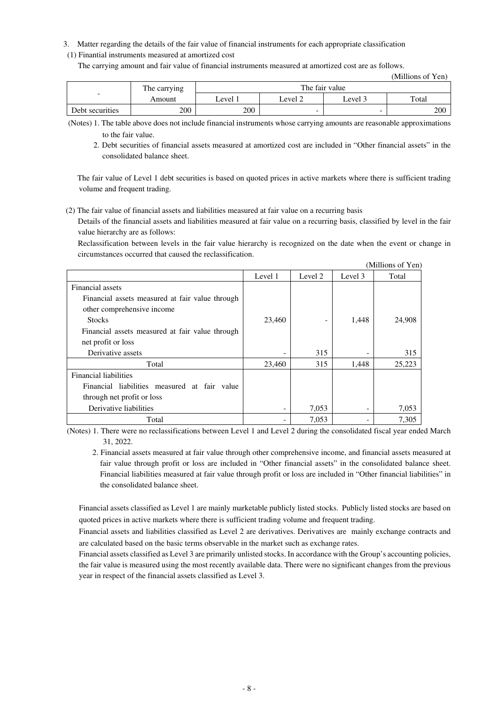3. Matter regarding the details of the fair value of financial instruments for each appropriate classification

## (1) Finantial instruments measured at amortized cost

The carrying amount and fair value of financial instruments measured at amortized cost are as follows.

|                          |              |         |         |                | (Millions of Yen) |
|--------------------------|--------------|---------|---------|----------------|-------------------|
|                          | The carrying |         |         | The fair value |                   |
| $\overline{\phantom{a}}$ | Amount       | Level 1 | Level 2 | Level 3        | Total             |
| Debt securities          | 200          | 200     |         |                | 200               |

(Notes) 1. The table above does not include financial instruments whose carrying amounts are reasonable approximations to the fair value.

2. Debt securities of financial assets measured at amortized cost are included in "Other financial assets" in the consolidated balance sheet.

The fair value of Level 1 debt securities is based on quoted prices in active markets where there is sufficient trading volume and frequent trading.

(2) The fair value of financial assets and liabilities measured at fair value on a recurring basis

Details of the financial assets and liabilities measured at fair value on a recurring basis, classified by level in the fair value hierarchy are as follows:

Reclassification between levels in the fair value hierarchy is recognized on the date when the event or change in circumstances occurred that caused the reclassification.

|                                                 |         |         |         | (Millions of Yen) |
|-------------------------------------------------|---------|---------|---------|-------------------|
|                                                 | Level 1 | Level 2 | Level 3 | Total             |
| Financial assets                                |         |         |         |                   |
| Financial assets measured at fair value through |         |         |         |                   |
| other comprehensive income                      |         |         |         |                   |
| <b>Stocks</b>                                   | 23,460  |         | 1,448   | 24,908            |
| Financial assets measured at fair value through |         |         |         |                   |
| net profit or loss                              |         |         |         |                   |
| Derivative assets                               |         | 315     |         | 315               |
| Total                                           | 23,460  | 315     | 1,448   | 25,223            |
| <b>Financial liabilities</b>                    |         |         |         |                   |
| Financial liabilities measured at fair value    |         |         |         |                   |
| through net profit or loss                      |         |         |         |                   |
| Derivative liabilities                          |         | 7,053   |         | 7,053             |
| Total                                           |         | 7,053   |         | 7,305             |

(Notes) 1. There were no reclassifications between Level 1 and Level 2 during the consolidated fiscal year ended March 31, 2022.

2. Financial assets measured at fair value through other comprehensive income, and financial assets measured at fair value through profit or loss are included in "Other financial assets" in the consolidated balance sheet. Financial liabilities measured at fair value through profit or loss are included in "Other financial liabilities" in the consolidated balance sheet.

Financial assets classified as Level 1 are mainly marketable publicly listed stocks. Publicly listed stocks are based on quoted prices in active markets where there is sufficient trading volume and frequent trading.

Financial assets and liabilities classified as Level 2 are derivatives. Derivatives are mainly exchange contracts and are calculated based on the basic terms observable in the market such as exchange rates.

Financial assets classified as Level 3 are primarily unlisted stocks. In accordance with the Group's accounting policies, the fair value is measured using the most recently available data. There were no significant changes from the previous year in respect of the financial assets classified as Level 3.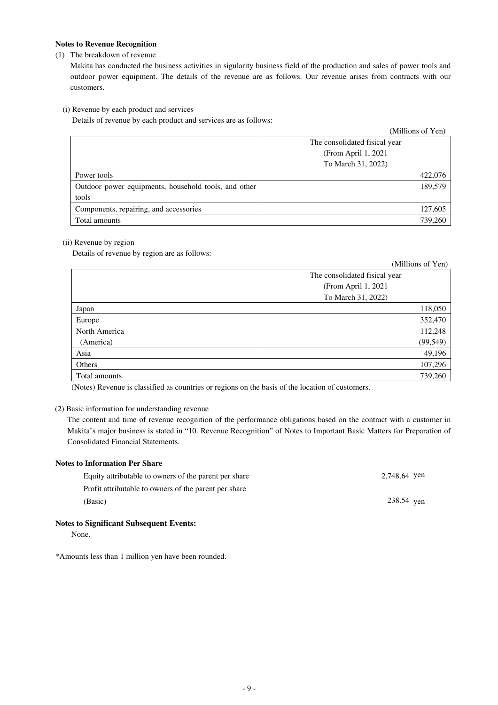## **Notes to Revenue Recognition**

### (1) The breakdown of revenue

Makita has conducted the business activities in sigularity business field of the production and sales of power tools and outdoor power equipment. The details of the revenue are as follows. Our revenue arises from contracts with our customers.

(i) Revenue by each product and services

Details of revenue by each product and services are as follows:

|                                                      | (Millions of Yen)             |
|------------------------------------------------------|-------------------------------|
|                                                      | The consolidated fisical year |
|                                                      | (From April 1, 2021)          |
|                                                      | To March 31, 2022)            |
| Power tools                                          | 422,076                       |
| Outdoor power equipments, household tools, and other | 189,579                       |
| tools                                                |                               |
| Components, repairing, and accessories               | 127,605                       |
| Total amounts                                        | 739,260                       |

## (ii) Revenue by region

Details of revenue by region are as follows:

|               | (Millions of Yen)             |
|---------------|-------------------------------|
|               | The consolidated fisical year |
|               | (From April 1, 2021           |
|               | To March 31, 2022)            |
| Japan         | 118,050                       |
| Europe        | 352,470                       |
| North America | 112,248                       |
| (America)     | (99, 549)                     |
| Asia          | 49,196                        |
| Others        | 107,296                       |
| Total amounts | 739,260                       |

(Notes) Revenue is classified as countries or regions on the basis of the location of customers.

## (2) Basic information for understanding revenue

The content and time of revenue recognition of the performance obligations based on the contract with a customer in Makita's major business is stated in "10. Revenue Recognition" of Notes to Important Basic Matters for Preparation of Consolidated Financial Statements.

| <b>Notes to Information Per Share</b>                 |              |
|-------------------------------------------------------|--------------|
| Equity attributable to owners of the parent per share | 2.748.64 yen |
| Profit attributable to owners of the parent per share |              |
| (Basic)                                               | 238.54 yen   |

#### **Notes to Significant Subsequent Events:**

None.

\*Amounts less than 1 million yen have been rounded.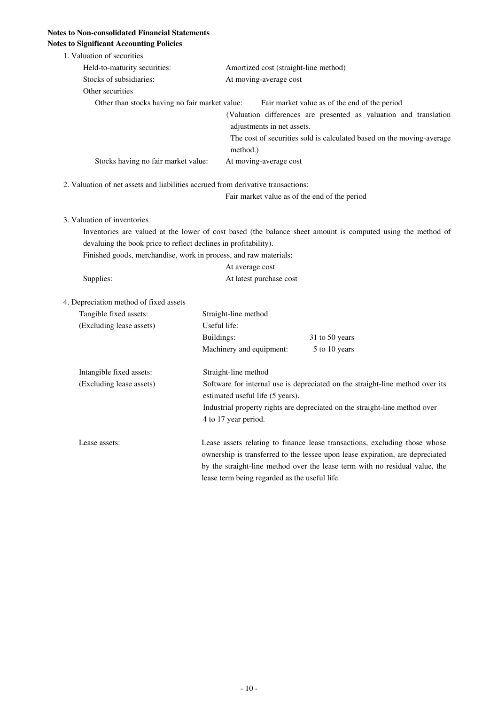# **Notes to Non-consolidated Financial Statements**

| <b>Notes to Significant Accounting Policies</b>                                  |                                                                  |                                                                                                                                                                                                                                            |  |
|----------------------------------------------------------------------------------|------------------------------------------------------------------|--------------------------------------------------------------------------------------------------------------------------------------------------------------------------------------------------------------------------------------------|--|
| 1. Valuation of securities                                                       |                                                                  |                                                                                                                                                                                                                                            |  |
| Held-to-maturity securities:                                                     | Amortized cost (straight-line method)                            |                                                                                                                                                                                                                                            |  |
| Stocks of subsidiaries:                                                          | At moving-average cost                                           |                                                                                                                                                                                                                                            |  |
| Other securities                                                                 |                                                                  |                                                                                                                                                                                                                                            |  |
| Other than stocks having no fair market value:                                   | adjustments in net assets.<br>method.)                           | Fair market value as of the end of the period<br>(Valuation differences are presented as valuation and translation<br>The cost of securities sold is calculated based on the moving-average                                                |  |
| Stocks having no fair market value:                                              | At moving-average cost                                           |                                                                                                                                                                                                                                            |  |
| 2. Valuation of net assets and liabilities accrued from derivative transactions: |                                                                  |                                                                                                                                                                                                                                            |  |
|                                                                                  |                                                                  | Fair market value as of the end of the period                                                                                                                                                                                              |  |
|                                                                                  |                                                                  |                                                                                                                                                                                                                                            |  |
| 3. Valuation of inventories                                                      |                                                                  |                                                                                                                                                                                                                                            |  |
|                                                                                  |                                                                  | Inventories are valued at the lower of cost based (the balance sheet amount is computed using the method of                                                                                                                                |  |
| devaluing the book price to reflect declines in profitability).                  |                                                                  |                                                                                                                                                                                                                                            |  |
|                                                                                  | Finished goods, merchandise, work in process, and raw materials: |                                                                                                                                                                                                                                            |  |
|                                                                                  | At average cost                                                  |                                                                                                                                                                                                                                            |  |
| Supplies:                                                                        | At latest purchase cost                                          |                                                                                                                                                                                                                                            |  |
|                                                                                  |                                                                  |                                                                                                                                                                                                                                            |  |
| 4. Depreciation method of fixed assets                                           |                                                                  |                                                                                                                                                                                                                                            |  |
| Tangible fixed assets:                                                           | Straight-line method<br>Useful life:                             |                                                                                                                                                                                                                                            |  |
| (Excluding lease assets)                                                         |                                                                  |                                                                                                                                                                                                                                            |  |
|                                                                                  | Buildings:<br>Machinery and equipment:                           | 31 to 50 years                                                                                                                                                                                                                             |  |
|                                                                                  |                                                                  | 5 to 10 years                                                                                                                                                                                                                              |  |
| Intangible fixed assets:                                                         | Straight-line method                                             |                                                                                                                                                                                                                                            |  |
| (Excluding lease assets)                                                         | estimated useful life (5 years).                                 | Software for internal use is depreciated on the straight-line method over its                                                                                                                                                              |  |
|                                                                                  | 4 to 17 year period.                                             | Industrial property rights are depreciated on the straight-line method over                                                                                                                                                                |  |
| Lease assets:                                                                    | lease term being regarded as the useful life.                    | Lease assets relating to finance lease transactions, excluding those whose<br>ownership is transferred to the lessee upon lease expiration, are depreciated<br>by the straight-line method over the lease term with no residual value, the |  |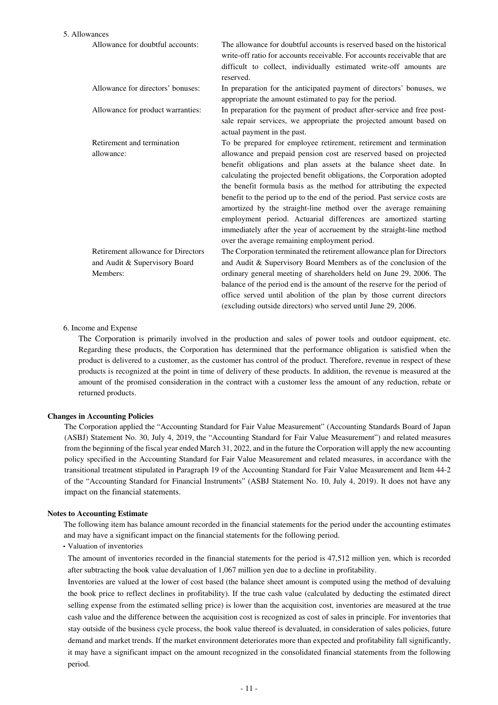#### 5. Allowances

| Allowance for doubtful accounts:   | The allowance for doubtful accounts is reserved based on the historical<br>write-off ratio for accounts receivable. For accounts receivable that are<br>difficult to collect, individually estimated write-off amounts are<br>reserved. |
|------------------------------------|-----------------------------------------------------------------------------------------------------------------------------------------------------------------------------------------------------------------------------------------|
| Allowance for directors' bonuses:  | In preparation for the anticipated payment of directors' bonuses, we<br>appropriate the amount estimated to pay for the period.                                                                                                         |
| Allowance for product warranties:  | In preparation for the payment of product after-service and free post-<br>sale repair services, we appropriate the projected amount based on<br>actual payment in the past.                                                             |
| Retirement and termination         | To be prepared for employee retirement, retirement and termination                                                                                                                                                                      |
| allowance:                         | allowance and prepaid pension cost are reserved based on projected                                                                                                                                                                      |
|                                    | benefit obligations and plan assets at the balance sheet date. In                                                                                                                                                                       |
|                                    | calculating the projected benefit obligations, the Corporation adopted                                                                                                                                                                  |
|                                    | the benefit formula basis as the method for attributing the expected                                                                                                                                                                    |
|                                    | benefit to the period up to the end of the period. Past service costs are                                                                                                                                                               |
|                                    | amortized by the straight-line method over the average remaining<br>employment period. Actuarial differences are amortized starting                                                                                                     |
|                                    | immediately after the year of accruement by the straight-line method                                                                                                                                                                    |
|                                    | over the average remaining employment period.                                                                                                                                                                                           |
| Retirement allowance for Directors | The Corporation terminated the retirement allowance plan for Directors                                                                                                                                                                  |
| and Audit & Supervisory Board      | and Audit & Supervisory Board Members as of the conclusion of the                                                                                                                                                                       |
| Members:                           | ordinary general meeting of shareholders held on June 29, 2006. The                                                                                                                                                                     |
|                                    | balance of the period end is the amount of the reserve for the period of                                                                                                                                                                |
|                                    | office served until abolition of the plan by those current directors                                                                                                                                                                    |
|                                    | (excluding outside directors) who served until June 29, 2006.                                                                                                                                                                           |

#### 6. Income and Expense

The Corporation is primarily involved in the production and sales of power tools and outdoor equipment, etc. Regarding these products, the Corporation has determined that the performance obligation is satisfied when the product is delivered to a customer, as the customer has control of the product. Therefore, revenue in respect of these products is recognized at the point in time of delivery of these products. In addition, the revenue is measured at the amount of the promised consideration in the contract with a customer less the amount of any reduction, rebate or returned products.

#### **Changes in Accounting Policies**

The Corporation applied the "Accounting Standard for Fair Value Measurement" (Accounting Standards Board of Japan (ASBJ) Statement No. 30, July 4, 2019, the "Accounting Standard for Fair Value Measurement") and related measures from the beginning of the fiscal year ended March 31, 2022, and in the future the Corporation will apply the new accounting policy specified in the Accounting Standard for Fair Value Measurement and related measures, in accordance with the transitional treatment stipulated in Paragraph 19 of the Accounting Standard for Fair Value Measurement and Item 44-2 of the "Accounting Standard for Financial Instruments" (ASBJ Statement No. 10, July 4, 2019). It does not have any impact on the financial statements.

#### **Notes to Accounting Estimate**

The following item has balance amount recorded in the financial statements for the period under the accounting estimates and may have a significant impact on the financial statements for the following period.

・Valuation of inventories

The amount of inventories recorded in the financial statements for the period is 47,512 million yen, which is recorded after subtracting the book value devaluation of 1,067 million yen due to a decline in profitability.

Inventories are valued at the lower of cost based (the balance sheet amount is computed using the method of devaluing the book price to reflect declines in profitability). If the true cash value (calculated by deducting the estimated direct selling expense from the estimated selling price) is lower than the acquisition cost, inventories are measured at the true cash value and the difference between the acquisition cost is recognized as cost of sales in principle. For inventories that stay outside of the business cycle process, the book value thereof is devaluated, in consideration of sales policies, future demand and market trends. If the market environment deteriorates more than expected and profitability fall significantly, it may have a significant impact on the amount recognized in the consolidated financial statements from the following period.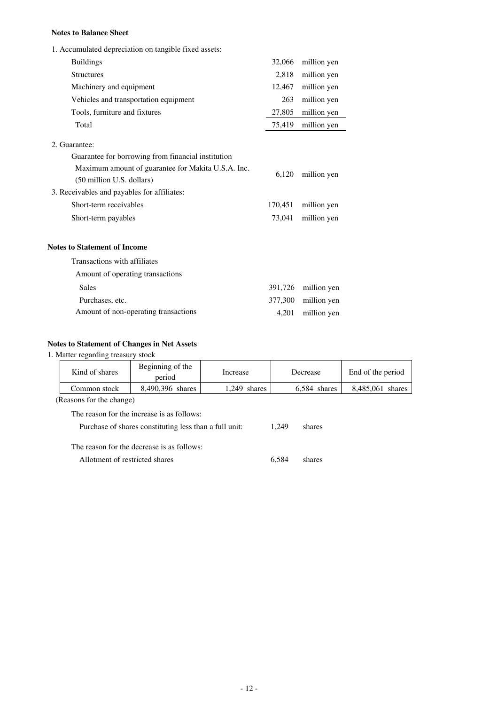## **Notes to Balance Sheet**

| 1. Accumulated depreciation on tangible fixed assets:                           |         |             |
|---------------------------------------------------------------------------------|---------|-------------|
| <b>Buildings</b>                                                                | 32,066  | million yen |
| <b>Structures</b>                                                               | 2,818   | million yen |
| Machinery and equipment                                                         | 12,467  | million yen |
| Vehicles and transportation equipment                                           | 263     | million yen |
| Tools, furniture and fixtures                                                   | 27,805  | million yen |
| Total                                                                           | 75,419  | million yen |
| 2. Guarantee:                                                                   |         |             |
| Guarantee for borrowing from financial institution                              |         |             |
| Maximum amount of guarantee for Makita U.S.A. Inc.<br>(50 million U.S. dollars) | 6,120   | million yen |
| 3. Receivables and payables for affiliates:                                     |         |             |
| Short-term receivables                                                          |         | million yen |
| Short-term payables                                                             |         | million yen |
| <b>Notes to Statement of Income</b>                                             |         |             |
| Transactions with affiliates                                                    |         |             |
| Amount of operating transactions                                                |         |             |
| Sales                                                                           | 391,726 | million yen |
| Purchases, etc.                                                                 | 377,300 | million yen |
| Amount of non-operating transactions                                            | 4,201   | million yen |
|                                                                                 |         |             |

## **Notes to Statement of Changes in Net Assets**

# 1. Matter regarding treasury stock

| Kind of shares                                         | Beginning of the<br>period | Increase       |        | Decrease     | End of the period |  |
|--------------------------------------------------------|----------------------------|----------------|--------|--------------|-------------------|--|
| Common stock                                           | 8,490,396 shares           | $1.249$ shares |        | 6.584 shares | 8,485,061 shares  |  |
| (Reasons for the change)                               |                            |                |        |              |                   |  |
| The reason for the increase is as follows:             |                            |                |        |              |                   |  |
| Purchase of shares constituting less than a full unit: |                            | 1.249          | shares |              |                   |  |
| The reason for the decrease is as follows:             |                            |                |        |              |                   |  |
| Allotment of restricted shares                         |                            |                | 6.584  | shares       |                   |  |
|                                                        |                            |                |        |              |                   |  |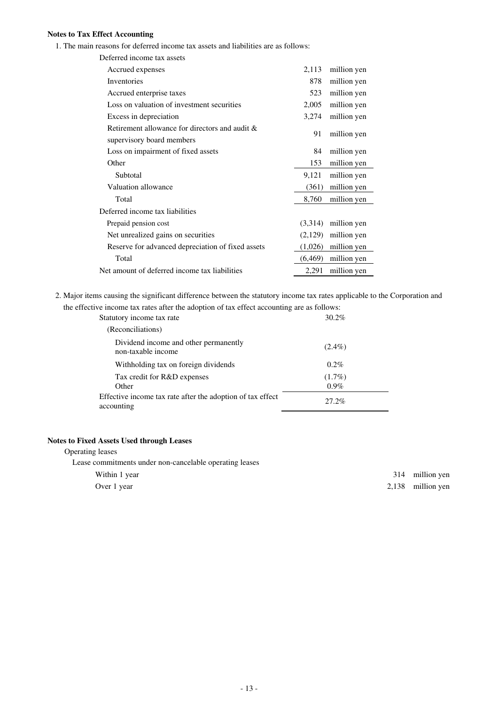## **Notes to Tax Effect Accounting**

1. The main reasons for deferred income tax assets and liabilities are as follows:

| Deferred income tax assets                                                  |          |             |
|-----------------------------------------------------------------------------|----------|-------------|
| Accrued expenses                                                            |          | million yen |
| Inventories                                                                 | 878      | million yen |
| Accrued enterprise taxes                                                    | 523      | million yen |
| Loss on valuation of investment securities                                  | 2,005    | million yen |
| Excess in depreciation                                                      | 3,274    | million yen |
| Retirement allowance for directors and audit &<br>supervisory board members | 91       | million yen |
| Loss on impairment of fixed assets                                          | 84       | million yen |
| Other                                                                       | 153      | million yen |
| Subtotal                                                                    | 9,121    | million yen |
| Valuation allowance                                                         |          | million yen |
| Total                                                                       | 8,760    | million yen |
| Deferred income tax liabilities                                             |          |             |
| Prepaid pension cost                                                        |          | million yen |
| Net unrealized gains on securities                                          |          | million yen |
| Reserve for advanced depreciation of fixed assets                           | (1,026)  | million yen |
| Total                                                                       | (6, 469) | million yen |
| Net amount of deferred income tax liabilities                               | 2,291    | million yen |

2. Major items causing the significant difference between the statutory income tax rates applicable to the Corporation and the effective income tax rates after the adoption of tax effect accounting are as follows:

| cave meonic tax rates arter the adoption or tax cricet accounting are as ronows. |                      |
|----------------------------------------------------------------------------------|----------------------|
| Statutory income tax rate                                                        | $30.2\%$             |
| (Reconciliations)                                                                |                      |
| Dividend income and other permanently<br>non-taxable income                      | $(2.4\%)$            |
| Withholding tax on foreign dividends                                             | $0.2\%$              |
| Tax credit for R&D expenses<br>Other                                             | $(1.7\%)$<br>$0.9\%$ |
| Effective income tax rate after the adoption of tax effect<br>accounting         | 27.2%                |

## **Notes to Fixed Assets Used through Leases**

Operating leases Lease commitments under non-cancelable operating leases Within 1 year 314 million yen

Over 1 year 2,138 million yen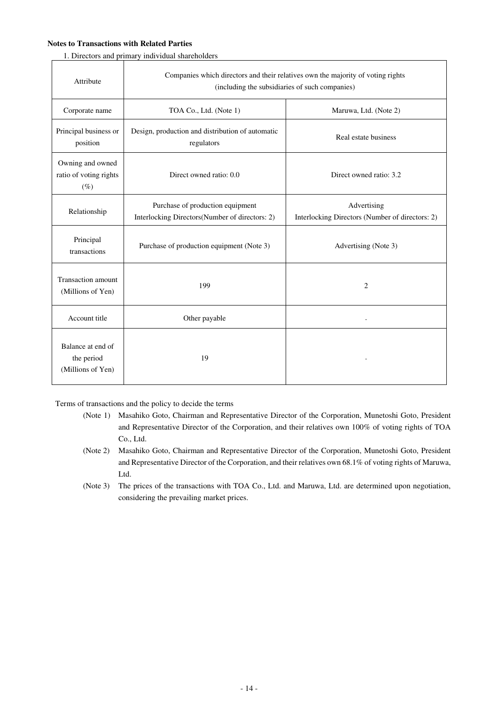## **Notes to Transactions with Related Parties**

1. Directors and primary individual shareholders

| Attribute                                            | Companies which directors and their relatives own the majority of voting rights<br>(including the subsidiaries of such companies) |                                                                |  |
|------------------------------------------------------|-----------------------------------------------------------------------------------------------------------------------------------|----------------------------------------------------------------|--|
| Corporate name                                       | TOA Co., Ltd. (Note 1)                                                                                                            | Maruwa, Ltd. (Note 2)                                          |  |
| Principal business or<br>position                    | Design, production and distribution of automatic<br>regulators                                                                    | Real estate business                                           |  |
| Owning and owned<br>ratio of voting rights<br>$(\%)$ | Direct owned ratio: 0.0                                                                                                           | Direct owned ratio: 3.2                                        |  |
| Relationship                                         | Purchase of production equipment<br>Interlocking Directors(Number of directors: 2)                                                | Advertising<br>Interlocking Directors (Number of directors: 2) |  |
| Principal<br>transactions                            | Purchase of production equipment (Note 3)                                                                                         | Advertising (Note 3)                                           |  |
| Transaction amount<br>(Millions of Yen)              | 199                                                                                                                               | 2                                                              |  |
| Account title                                        | Other payable                                                                                                                     |                                                                |  |
| Balance at end of<br>the period<br>(Millions of Yen) | 19                                                                                                                                |                                                                |  |

Terms of transactions and the policy to decide the terms

- (Note 1) Masahiko Goto, Chairman and Representative Director of the Corporation, Munetoshi Goto, President and Representative Director of the Corporation, and their relatives own 100% of voting rights of TOA Co., Ltd.
- (Note 2) Masahiko Goto, Chairman and Representative Director of the Corporation, Munetoshi Goto, President and Representative Director of the Corporation, and their relatives own 68.1% of voting rights of Maruwa, Ltd.
- (Note 3) The prices of the transactions with TOA Co., Ltd. and Maruwa, Ltd. are determined upon negotiation, considering the prevailing market prices.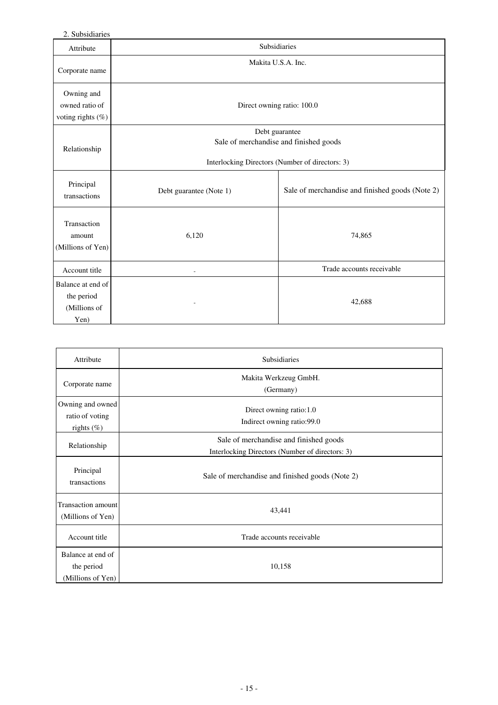2. Subsidiaries

| $\epsilon$ . Judskialics                                |                                                          |                                                 |  |
|---------------------------------------------------------|----------------------------------------------------------|-------------------------------------------------|--|
| Attribute                                               | Subsidiaries                                             |                                                 |  |
| Corporate name                                          | Makita U.S.A. Inc.                                       |                                                 |  |
| Owning and<br>owned ratio of<br>voting rights (%)       | Direct owning ratio: 100.0                               |                                                 |  |
| Relationship                                            | Debt guarantee<br>Sale of merchandise and finished goods |                                                 |  |
|                                                         | Interlocking Directors (Number of directors: 3)          |                                                 |  |
| Principal<br>transactions                               | Debt guarantee (Note 1)                                  | Sale of merchandise and finished goods (Note 2) |  |
| Transaction<br>amount<br>(Millions of Yen)              | 6,120                                                    | 74,865                                          |  |
| Account title                                           |                                                          | Trade accounts receivable                       |  |
| Balance at end of<br>the period<br>(Millions of<br>Yen) |                                                          | 42,688                                          |  |

| Attribute                                            | Subsidiaries                                                                              |
|------------------------------------------------------|-------------------------------------------------------------------------------------------|
| Corporate name                                       | Makita Werkzeug GmbH.<br>(Germany)                                                        |
| Owning and owned<br>ratio of voting<br>rights $(\%)$ | Direct owning ratio:1.0<br>Indirect owning ratio:99.0                                     |
| Relationship                                         | Sale of merchandise and finished goods<br>Interlocking Directors (Number of directors: 3) |
| Principal<br>transactions                            | Sale of merchandise and finished goods (Note 2)                                           |
| <b>Transaction amount</b><br>(Millions of Yen)       | 43,441                                                                                    |
| Account title                                        | Trade accounts receivable                                                                 |
| Balance at end of<br>the period<br>(Millions of Yen) | 10,158                                                                                    |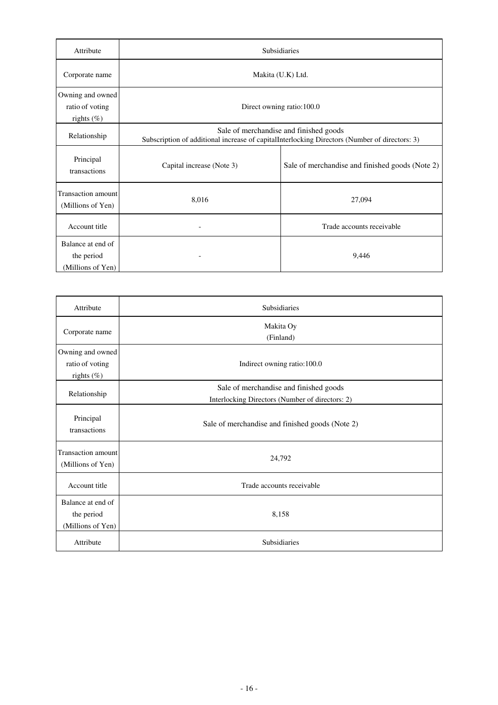| Attribute                                            | Subsidiaries                                                                                                                            |                                                 |
|------------------------------------------------------|-----------------------------------------------------------------------------------------------------------------------------------------|-------------------------------------------------|
| Corporate name                                       | Makita (U.K) Ltd.                                                                                                                       |                                                 |
| Owning and owned<br>ratio of voting<br>rights $(\%)$ |                                                                                                                                         | Direct owning ratio:100.0                       |
| Relationship                                         | Sale of merchandise and finished goods<br>Subscription of additional increase of capitalInterlocking Directors (Number of directors: 3) |                                                 |
| Principal<br>transactions                            | Capital increase (Note 3)                                                                                                               | Sale of merchandise and finished goods (Note 2) |
| <b>Transaction amount</b><br>(Millions of Yen)       | 8,016                                                                                                                                   | 27,094                                          |
| Account title                                        |                                                                                                                                         | Trade accounts receivable                       |
| Balance at end of<br>the period<br>(Millions of Yen) |                                                                                                                                         | 9,446                                           |

| Attribute                                            | Subsidiaries                                                                              |
|------------------------------------------------------|-------------------------------------------------------------------------------------------|
| Corporate name                                       | Makita Oy<br>(Finland)                                                                    |
| Owning and owned<br>ratio of voting<br>rights $(\%)$ | Indirect owning ratio:100.0                                                               |
| Relationship                                         | Sale of merchandise and finished goods<br>Interlocking Directors (Number of directors: 2) |
| Principal<br>transactions                            | Sale of merchandise and finished goods (Note 2)                                           |
| <b>Transaction amount</b><br>(Millions of Yen)       | 24,792                                                                                    |
| Account title                                        | Trade accounts receivable                                                                 |
| Balance at end of<br>the period<br>(Millions of Yen) | 8,158                                                                                     |
| Attribute                                            | Subsidiaries                                                                              |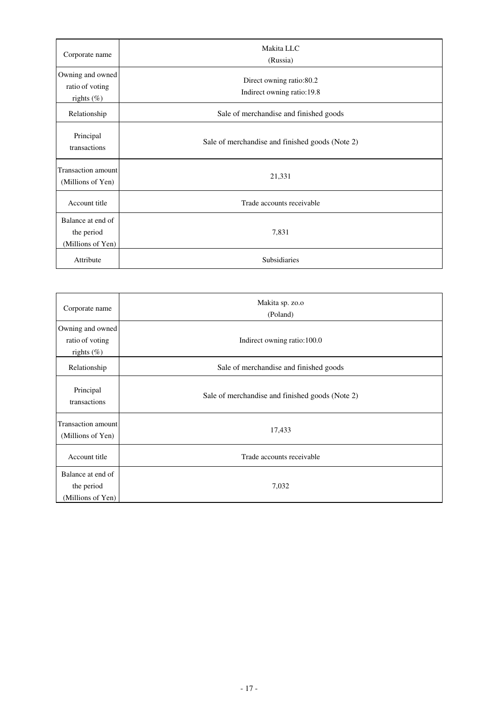| Corporate name                                       | Makita LLC<br>(Russia)                                 |  |
|------------------------------------------------------|--------------------------------------------------------|--|
| Owning and owned<br>ratio of voting<br>rights $(\%)$ | Direct owning ratio:80.2<br>Indirect owning ratio:19.8 |  |
| Relationship                                         | Sale of merchandise and finished goods                 |  |
| Principal<br>transactions                            | Sale of merchandise and finished goods (Note 2)        |  |
| Transaction amount<br>(Millions of Yen)              | 21,331                                                 |  |
| Account title                                        | Trade accounts receivable                              |  |
| Balance at end of<br>the period<br>(Millions of Yen) | 7,831                                                  |  |
| Attribute                                            | Subsidiaries                                           |  |

| Corporate name                                       | Makita sp. zo.o<br>(Poland)                     |
|------------------------------------------------------|-------------------------------------------------|
| Owning and owned<br>ratio of voting<br>rights $(\%)$ | Indirect owning ratio:100.0                     |
| Relationship                                         | Sale of merchandise and finished goods          |
| Principal<br>transactions                            | Sale of merchandise and finished goods (Note 2) |
| Transaction amount<br>(Millions of Yen)              | 17,433                                          |
| Account title                                        | Trade accounts receivable                       |
| Balance at end of<br>the period<br>(Millions of Yen) | 7,032                                           |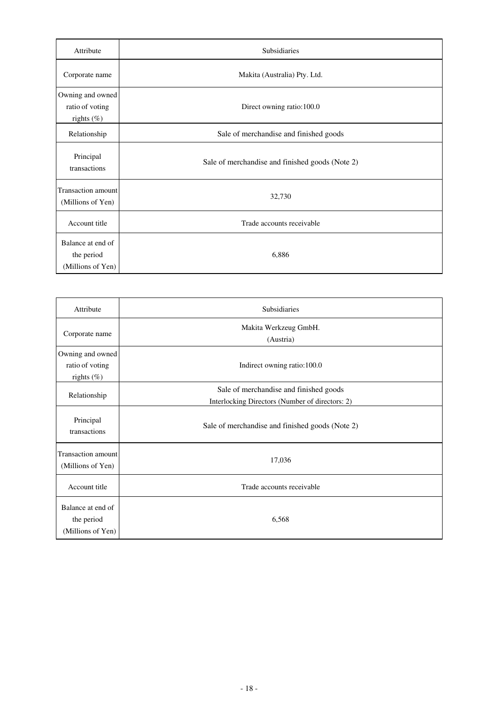| Attribute                                            | Subsidiaries                                    |  |
|------------------------------------------------------|-------------------------------------------------|--|
| Corporate name                                       | Makita (Australia) Pty. Ltd.                    |  |
| Owning and owned<br>ratio of voting<br>rights $(\%)$ | Direct owning ratio:100.0                       |  |
| Relationship                                         | Sale of merchandise and finished goods          |  |
| Principal<br>transactions                            | Sale of merchandise and finished goods (Note 2) |  |
| Transaction amount<br>(Millions of Yen)              | 32,730                                          |  |
| Account title                                        | Trade accounts receivable                       |  |
| Balance at end of<br>the period<br>(Millions of Yen) | 6,886                                           |  |

| Attribute                                            | Subsidiaries                                                                              |
|------------------------------------------------------|-------------------------------------------------------------------------------------------|
| Corporate name                                       | Makita Werkzeug GmbH.<br>(Austria)                                                        |
| Owning and owned<br>ratio of voting<br>rights $(\%)$ | Indirect owning ratio:100.0                                                               |
| Relationship                                         | Sale of merchandise and finished goods<br>Interlocking Directors (Number of directors: 2) |
| Principal<br>transactions                            | Sale of merchandise and finished goods (Note 2)                                           |
| <b>Transaction amount</b><br>(Millions of Yen)       | 17,036                                                                                    |
| Account title                                        | Trade accounts receivable                                                                 |
| Balance at end of<br>the period<br>(Millions of Yen) | 6,568                                                                                     |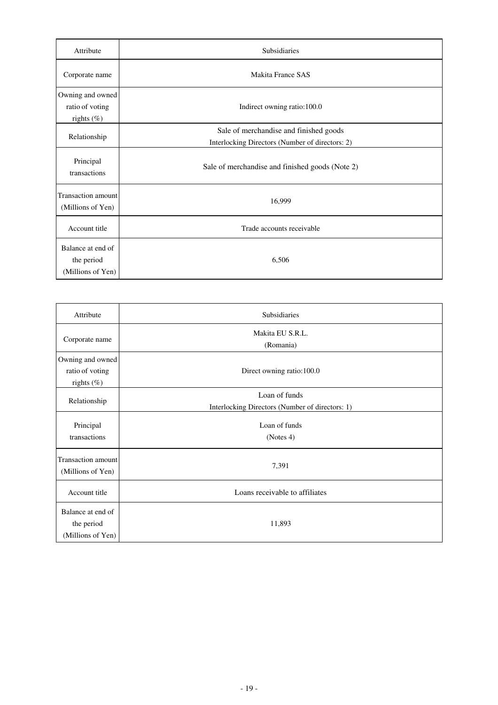| Attribute                                            | <b>Subsidiaries</b>                                                                       |  |
|------------------------------------------------------|-------------------------------------------------------------------------------------------|--|
| Corporate name                                       | Makita France SAS                                                                         |  |
| Owning and owned<br>ratio of voting<br>rights $(\%)$ | Indirect owning ratio:100.0                                                               |  |
| Relationship                                         | Sale of merchandise and finished goods<br>Interlocking Directors (Number of directors: 2) |  |
| Principal<br>transactions                            | Sale of merchandise and finished goods (Note 2)                                           |  |
| Transaction amount<br>(Millions of Yen)              | 16,999                                                                                    |  |
| Account title                                        | Trade accounts receivable                                                                 |  |
| Balance at end of<br>the period<br>(Millions of Yen) | 6,506                                                                                     |  |

| Attribute                                            | Subsidiaries                                                     |  |
|------------------------------------------------------|------------------------------------------------------------------|--|
| Corporate name                                       | Makita EU S.R.L.<br>(Romania)                                    |  |
| Owning and owned<br>ratio of voting<br>rights $(\%)$ | Direct owning ratio:100.0                                        |  |
| Relationship                                         | Loan of funds<br>Interlocking Directors (Number of directors: 1) |  |
| Principal<br>transactions                            | Loan of funds<br>(Notes 4)                                       |  |
| Transaction amount<br>(Millions of Yen)              | 7,391                                                            |  |
| Account title                                        | Loans receivable to affiliates                                   |  |
| Balance at end of<br>the period<br>(Millions of Yen) | 11,893                                                           |  |